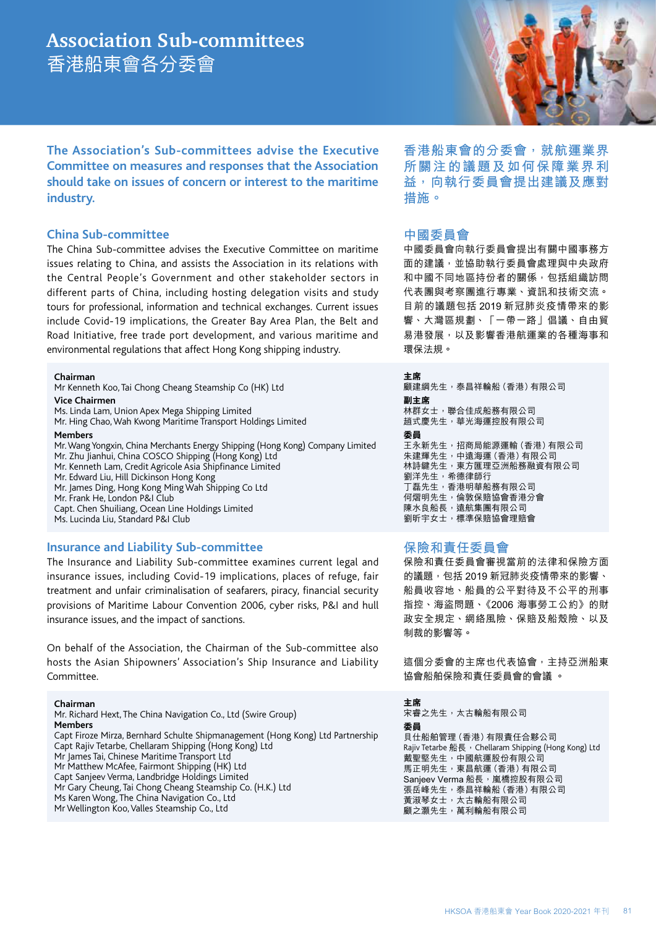# **Association Sub-committees** 香港船東會各分委會

**The Association's Sub-committees advise the Executive Committee on measures and responses that the Association should take on issues of concern or interest to the maritime industry.** 

## **China Sub-committee**

The China Sub-committee advises the Executive Committee on maritime issues relating to China, and assists the Association in its relations with the Central People's Government and other stakeholder sectors in different parts of China, including hosting delegation visits and study tours for professional, information and technical exchanges. Current issues include Covid-19 implications, the Greater Bay Area Plan, the Belt and Road Initiative, free trade port development, and various maritime and environmental regulations that affect Hong Kong shipping industry.

**Chairman**

Mr Kenneth Koo, Tai Chong Cheang Steamship Co (HK) Ltd

**Vice Chairmen** 

Ms. Linda Lam, Union Apex Mega Shipping Limited

Mr. Hing Chao, Wah Kwong Maritime Transport Holdings Limited

**Members** 

Mr. Wang Yongxin, China Merchants Energy Shipping (Hong Kong) Company Limited Mr. Zhu Jianhui, China COSCO Shipping (Hong Kong) Ltd Mr. Kenneth Lam, Credit Agricole Asia Shipfinance Limited Mr. Edward Liu, Hill Dickinson Hong Kong

Mr. James Ding, Hong Kong Ming Wah Shipping Co Ltd

Mr. Frank He, London P&I Club

Capt. Chen Shuiliang, Ocean Line Holdings Limited Ms. Lucinda Liu, Standard P&I Club

## **Insurance and Liability Sub-committee**

The Insurance and Liability Sub-committee examines current legal and insurance issues, including Covid-19 implications, places of refuge, fair treatment and unfair criminalisation of seafarers, piracy, financial security provisions of Maritime Labour Convention 2006, cyber risks, P&I and hull insurance issues, and the impact of sanctions.

On behalf of the Association, the Chairman of the Sub-committee also hosts the Asian Shipowners' Association's Ship Insurance and Liability Committee.

#### **Chairman**

Mr. Richard Hext, The China Navigation Co., Ltd (Swire Group)

**Members** Capt Firoze Mirza, Bernhard Schulte Shipmanagement (Hong Kong) Ltd Partnership

Capt Rajiv Tetarbe, Chellaram Shipping (Hong Kong) Ltd

Mr James Tai, Chinese Maritime Transport Ltd Mr Matthew McAfee, Fairmont Shipping (HK) Ltd

Capt Sanjeev Verma, Landbridge Holdings Limited

Mr Gary Cheung, Tai Chong Cheang Steamship Co. (H.K.) Ltd

Ms Karen Wong, The China Navigation Co., Ltd

Mr Wellington Koo, Valles Steamship Co., Ltd

**香港船東會的分委會,就航運業界 所關注的議題及如何保障業界利 益,向執行委員會提出建議及應對 措施。**

# **中國委員會**

中國委員會向執行委員會提出有關中國事務方 面的建議,並協助執行委員會處理與中央政府 和中國不同地區持份者的關係,包括組織訪問 代表團與考察團進行專業、資訊和技術交流。 目前的議題包括 2019 新冠肺炎疫情帶來的影 響、大灣區規劃、「一帶一路」倡議、自由貿 易港發展,以及影響香港航運業的各種海事和 環保法規。

**主席**

顧建綱先生,泰昌祥輪船(香港)有限公司 **副主席** 林群女士,聯合佳成船務有限公司 趙式慶先生,華光海運控股有限公司 **委員** 王永新先生,招商局能源運輸(香港)有限公司 朱建輝先生,中遠海運(香港)有限公司 林詩鍵先生,東方匯理亞洲船務融資有限公司 劉洋先生,希德律師行 丁磊先生,香港明華船務有限公司 何熠明先生,倫敦保賠協會香港分會 陳水良船長,遠航集團有限公司 劉昕宇女士,標準保賠協會理賠會

# **保險和責任委員會**

保險和責任委員會審視當前的法律和保險方面 的議題,包括 2019 新冠肺炎疫情帶來的影響、 船員收容地、船員的公平對待及不公平的刑事 指控、海盜問題、《2006 海事勞工公約》的財 政安全規定、網絡風險、保賠及船殼險、以及 制裁的影響等。

這個分委會的主席也代表協會,主持亞洲船東 協會船舶保險和責任委員會的會議 。

**主席** 宋睿之先生,太古輪船有限公司 **委員** 貝仕船舶管理(香港)有限責任合夥公司 Rajiv Tetarbe 船長, Chellaram Shipping (Hong Kong) Ltd ,……<br>戴聖堅先生,中國航運股份有限公司 馬正明先生,東昌航運(香港)有限公司 Sanjeev Verma 船長,嵐橋控股有限公司 張岳峰先生,泰昌祥輪船(香港)有限公司 黃淑琴女士,太古輪船有限公司 顧之灝先生,萬利輪船有限公司